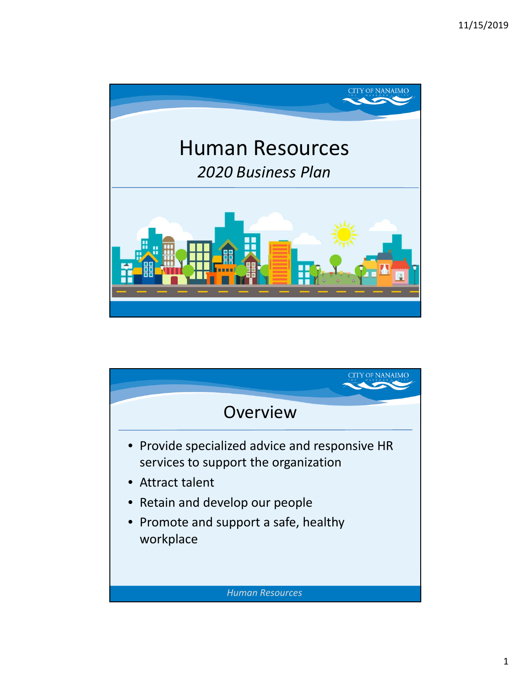

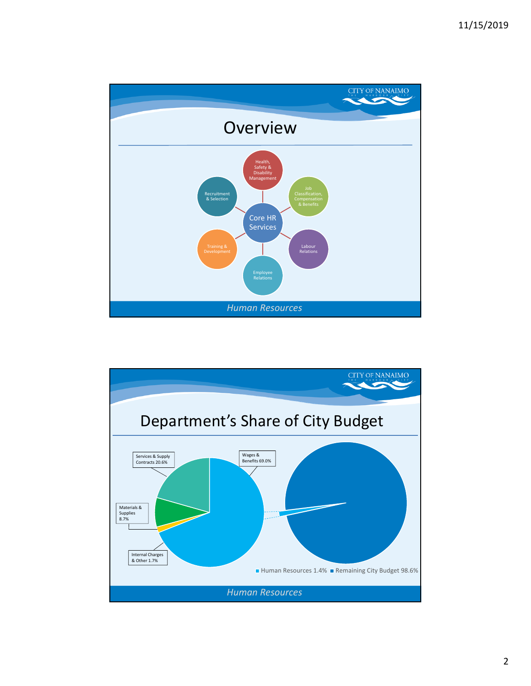

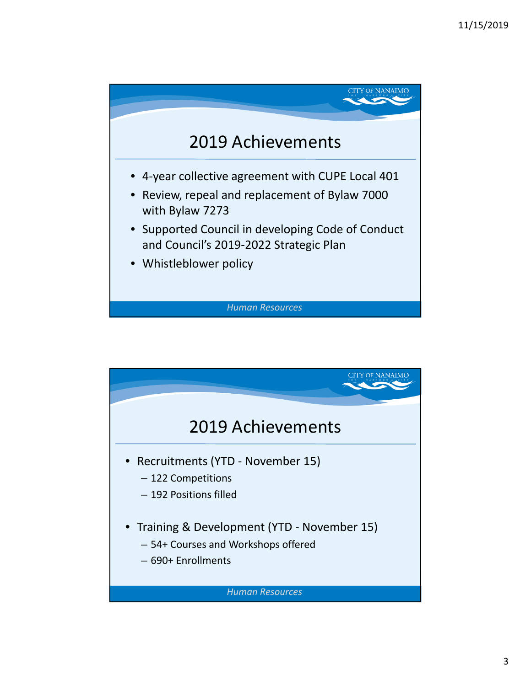

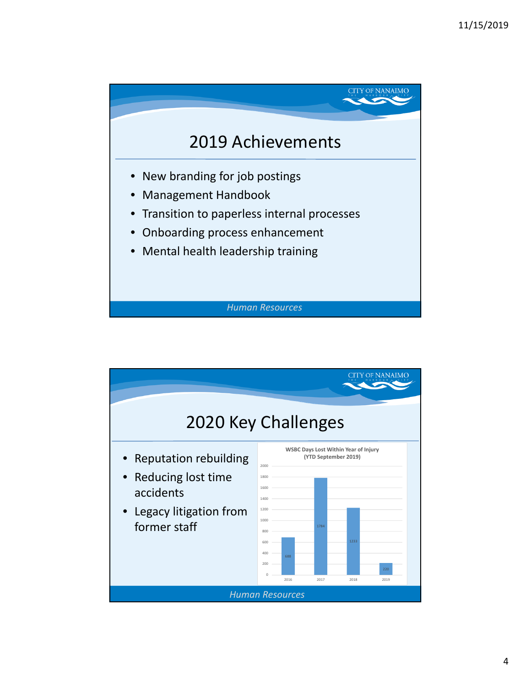

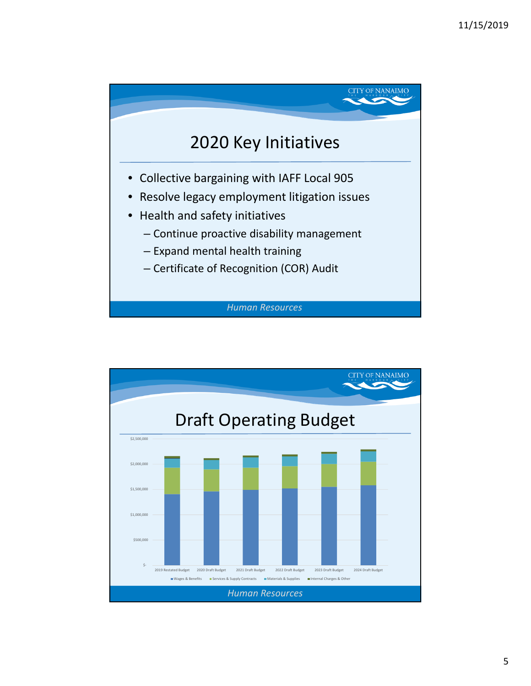